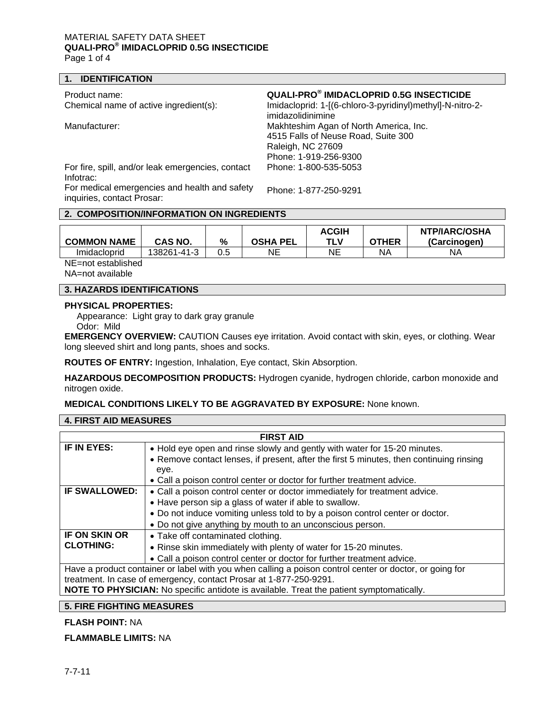#### **1. IDENTIFICATION**

## Product name: **QUALI-PRO® IMIDACLOPRID 0.5G INSECTICIDE**

Chemical name of active ingredient(s): Imidacloprid: 1-[(6-chloro-3-pyridinyl)methyl]-N-nitro-2 imidazolidinimine Manufacturer: Makhteshim Agan of North America, Inc. 4515 Falls of Neuse Road, Suite 300 Raleigh, NC 27609 Phone: 1-919-256-9300 Phone: 1-800-535-5053

For fire, spill, and/or leak emergencies, contact Infotrac:

For medical emergencies and health and safety inquiries, contact Prosar:

Phone: 1-877-250-9291

## **2. COMPOSITION/INFORMATION ON INGREDIENTS**

| <b>COMMON NAME</b> | CAS NO.     | %   | <b>OSHA PEL</b> | <b>ACGIH</b><br>TLV | <b>OTHER</b> | <b>NTP/IARC/OSHA</b><br>(Carcinogen) |
|--------------------|-------------|-----|-----------------|---------------------|--------------|--------------------------------------|
| Imidacloprid       | 138261-41-3 | 0.5 | ΝE              | NE                  | ΝA           | ΝA                                   |

NE=not established NA=not available

## **3. HAZARDS IDENTIFICATIONS**

## **PHYSICAL PROPERTIES:**

Appearance: Light gray to dark gray granule

Odor: Mild

**EMERGENCY OVERVIEW:** CAUTION Causes eye irritation. Avoid contact with skin, eyes, or clothing. Wear long sleeved shirt and long pants, shoes and socks.

**ROUTES OF ENTRY:** Ingestion, Inhalation, Eye contact, Skin Absorption.

**HAZARDOUS DECOMPOSITION PRODUCTS:** Hydrogen cyanide, hydrogen chloride, carbon monoxide and nitrogen oxide.

## **MEDICAL CONDITIONS LIKELY TO BE AGGRAVATED BY EXPOSURE:** None known.

## **4. FIRST AID MEASURES**

| <b>FIRST AID</b>                                                                                        |                                                                                         |  |  |  |  |  |
|---------------------------------------------------------------------------------------------------------|-----------------------------------------------------------------------------------------|--|--|--|--|--|
| IF IN EYES:                                                                                             | • Hold eye open and rinse slowly and gently with water for 15-20 minutes.               |  |  |  |  |  |
|                                                                                                         | • Remove contact lenses, if present, after the first 5 minutes, then continuing rinsing |  |  |  |  |  |
|                                                                                                         | eve.                                                                                    |  |  |  |  |  |
|                                                                                                         | • Call a poison control center or doctor for further treatment advice.                  |  |  |  |  |  |
| <b>IF SWALLOWED:</b>                                                                                    | • Call a poison control center or doctor immediately for treatment advice.              |  |  |  |  |  |
|                                                                                                         | • Have person sip a glass of water if able to swallow.                                  |  |  |  |  |  |
|                                                                                                         | • Do not induce vomiting unless told to by a poison control center or doctor.           |  |  |  |  |  |
|                                                                                                         | • Do not give anything by mouth to an unconscious person.                               |  |  |  |  |  |
| IF ON SKIN OR                                                                                           | • Take off contaminated clothing.                                                       |  |  |  |  |  |
| <b>CLOTHING:</b>                                                                                        | • Rinse skin immediately with plenty of water for 15-20 minutes.                        |  |  |  |  |  |
|                                                                                                         | • Call a poison control center or doctor for further treatment advice.                  |  |  |  |  |  |
| Have a product container or label with you when calling a poison control center or doctor, or going for |                                                                                         |  |  |  |  |  |
| treatment. In case of emergency, contact Prosar at 1-877-250-9291.                                      |                                                                                         |  |  |  |  |  |
| <b>NOTE TO PHYSICIAN:</b> No specific antidote is available. Treat the patient symptomatically.         |                                                                                         |  |  |  |  |  |

## **5. FIRE FIGHTING MEASURES**

**FLASH POINT:** NA

**FLAMMABLE LIMITS:** NA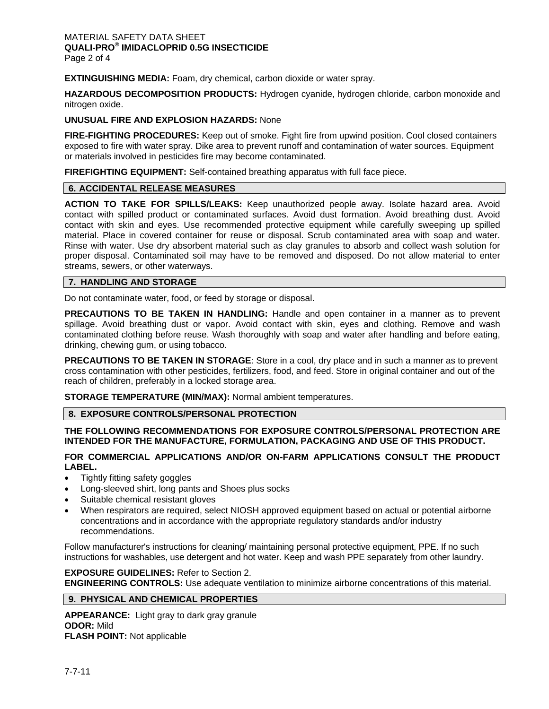#### MATERIAL SAFETY DATA SHEET **QUALI-PRO® IMIDACLOPRID 0.5G INSECTICIDE**  Page 2 of 4

**EXTINGUISHING MEDIA:** Foam, dry chemical, carbon dioxide or water spray.

**HAZARDOUS DECOMPOSITION PRODUCTS:** Hydrogen cyanide, hydrogen chloride, carbon monoxide and nitrogen oxide.

## **UNUSUAL FIRE AND EXPLOSION HAZARDS:** None

**FIRE-FIGHTING PROCEDURES:** Keep out of smoke. Fight fire from upwind position. Cool closed containers exposed to fire with water spray. Dike area to prevent runoff and contamination of water sources. Equipment or materials involved in pesticides fire may become contaminated.

**FIREFIGHTING EQUIPMENT:** Self-contained breathing apparatus with full face piece.

## **6. ACCIDENTAL RELEASE MEASURES**

**ACTION TO TAKE FOR SPILLS/LEAKS:** Keep unauthorized people away. Isolate hazard area. Avoid contact with spilled product or contaminated surfaces. Avoid dust formation. Avoid breathing dust. Avoid contact with skin and eyes. Use recommended protective equipment while carefully sweeping up spilled material. Place in covered container for reuse or disposal. Scrub contaminated area with soap and water. Rinse with water. Use dry absorbent material such as clay granules to absorb and collect wash solution for proper disposal. Contaminated soil may have to be removed and disposed. Do not allow material to enter streams, sewers, or other waterways.

## **7. HANDLING AND STORAGE**

Do not contaminate water, food, or feed by storage or disposal.

**PRECAUTIONS TO BE TAKEN IN HANDLING:** Handle and open container in a manner as to prevent spillage. Avoid breathing dust or vapor. Avoid contact with skin, eyes and clothing. Remove and wash contaminated clothing before reuse. Wash thoroughly with soap and water after handling and before eating, drinking, chewing gum, or using tobacco.

**PRECAUTIONS TO BE TAKEN IN STORAGE**: Store in a cool, dry place and in such a manner as to prevent cross contamination with other pesticides, fertilizers, food, and feed. Store in original container and out of the reach of children, preferably in a locked storage area.

**STORAGE TEMPERATURE (MIN/MAX):** Normal ambient temperatures.

## **8. EXPOSURE CONTROLS/PERSONAL PROTECTION**

## **THE FOLLOWING RECOMMENDATIONS FOR EXPOSURE CONTROLS/PERSONAL PROTECTION ARE INTENDED FOR THE MANUFACTURE, FORMULATION, PACKAGING AND USE OF THIS PRODUCT.**

## **FOR COMMERCIAL APPLICATIONS AND/OR ON-FARM APPLICATIONS CONSULT THE PRODUCT LABEL.**

- Tightly fitting safety goggles
- Long-sleeved shirt, long pants and Shoes plus socks
- Suitable chemical resistant gloves
- When respirators are required, select NIOSH approved equipment based on actual or potential airborne concentrations and in accordance with the appropriate regulatory standards and/or industry recommendations.

Follow manufacturer's instructions for cleaning/ maintaining personal protective equipment, PPE. If no such instructions for washables, use detergent and hot water. Keep and wash PPE separately from other laundry.

## **EXPOSURE GUIDELINES:** Refer to Section 2.

**ENGINEERING CONTROLS:** Use adequate ventilation to minimize airborne concentrations of this material.

## **9. PHYSICAL AND CHEMICAL PROPERTIES**

**APPEARANCE:** Light gray to dark gray granule **ODOR:** Mild **FLASH POINT:** Not applicable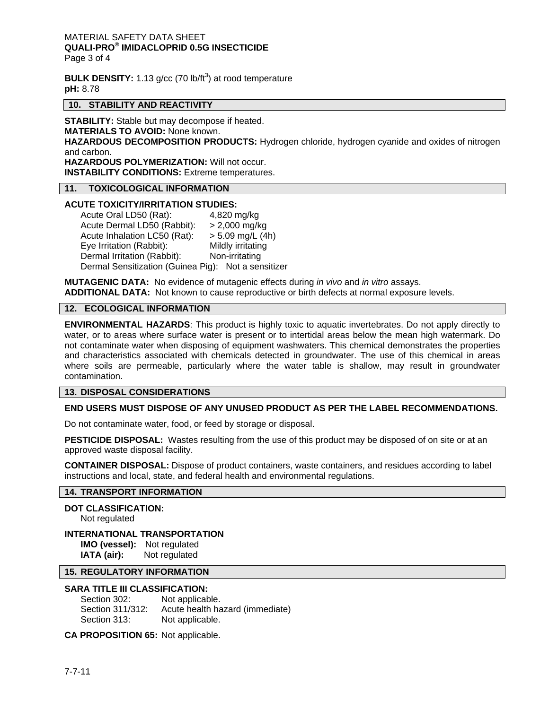#### MATERIAL SAFETY DATA SHEET **QUALI-PRO® IMIDACLOPRID 0.5G INSECTICIDE**  Page 3 of 4

**BULK DENSITY:** 1.13 g/cc (70 lb/ft<sup>3</sup>) at rood temperature **pH:** 8.78

## **10. STABILITY AND REACTIVITY**

**STABILITY:** Stable but may decompose if heated.

**MATERIALS TO AVOID:** None known.

**HAZARDOUS DECOMPOSITION PRODUCTS:** Hydrogen chloride, hydrogen cyanide and oxides of nitrogen and carbon.

**HAZARDOUS POLYMERIZATION:** Will not occur. **INSTABILITY CONDITIONS:** Extreme temperatures.

#### **11. TOXICOLOGICAL INFORMATION**

#### **ACUTE TOXICITY/IRRITATION STUDIES:**

Acute Oral LD50 (Rat): 4,820 mg/kg Acute Dermal LD50 (Rabbit): > 2,000 mg/kg Acute Inhalation LC50 (Rat): > 5.09 mg/L (4h) Eye Irritation (Rabbit): Mildly irritating Dermal Irritation (Rabbit): Non-irritating Dermal Sensitization (Guinea Pig): Not a sensitizer

**MUTAGENIC DATA:** No evidence of mutagenic effects during *in vivo* and *in vitro* assays. **ADDITIONAL DATA:** Not known to cause reproductive or birth defects at normal exposure levels.

### **12. ECOLOGICAL INFORMATION**

**ENVIRONMENTAL HAZARDS**: This product is highly toxic to aquatic invertebrates. Do not apply directly to water, or to areas where surface water is present or to intertidal areas below the mean high watermark. Do not contaminate water when disposing of equipment washwaters. This chemical demonstrates the properties and characteristics associated with chemicals detected in groundwater. The use of this chemical in areas where soils are permeable, particularly where the water table is shallow, may result in groundwater contamination.

## **13. DISPOSAL CONSIDERATIONS**

## **END USERS MUST DISPOSE OF ANY UNUSED PRODUCT AS PER THE LABEL RECOMMENDATIONS.**

Do not contaminate water, food, or feed by storage or disposal.

**PESTICIDE DISPOSAL:** Wastes resulting from the use of this product may be disposed of on site or at an approved waste disposal facility.

**CONTAINER DISPOSAL:** Dispose of product containers, waste containers, and residues according to label instructions and local, state, and federal health and environmental regulations.

### **14. TRANSPORT INFORMATION**

#### **DOT CLASSIFICATION:**

Not regulated

#### **INTERNATIONAL TRANSPORTATION**

**IMO (vessel):** Not regulated **IATA (air):** Not regulated

# **15. REGULATORY INFORMATION**

## **SARA TITLE III CLASSIFICATION:**

Section 302: Not applicable. Section 311/312: Acute health hazard (immediate) Section 313: Not applicable.

#### **CA PROPOSITION 65:** Not applicable.